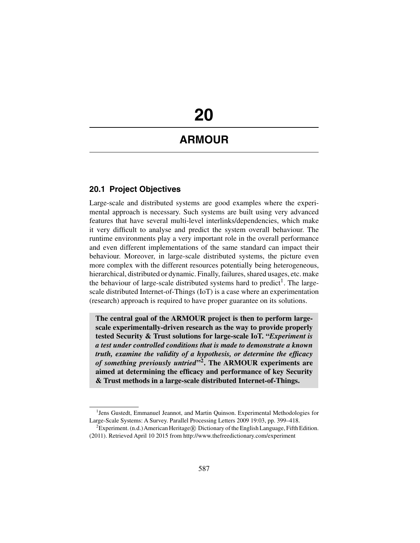# **20**

# **ARMOUR**

# **20.1 Project Objectives**

Large-scale and distributed systems are good examples where the experimental approach is necessary. Such systems are built using very advanced features that have several multi-level interlinks/dependencies, which make it very difficult to analyse and predict the system overall behaviour. The runtime environments play a very important role in the overall performance and even different implementations of the same standard can impact their behaviour. Moreover, in large-scale distributed systems, the picture even more complex with the different resources potentially being heterogeneous, hierarchical, distributed or dynamic. Finally, failures, shared usages, etc. make the behaviour of large-scale distributed systems hard to predict<sup>1</sup>. The largescale distributed Internet-of-Things (IoT) is a case where an experimentation (research) approach is required to have proper guarantee on its solutions.

**The central goal of the ARMOUR project is then to perform largescale experimentally-driven research as the way to provide properly tested Security & Trust solutions for large-scale IoT. "***Experiment is a test under controlled conditions that is made to demonstrate a known truth, examine the validity of a hypothesis, or determine the efficacy of something previously untried***"2. The ARMOUR experiments are aimed at determining the efficacy and performance of key Security & Trust methods in a large-scale distributed Internet-of-Things.**

<sup>&</sup>lt;sup>1</sup> Jens Gustedt, Emmanuel Jeannot, and Martin Quinson. Experimental Methodologies for Large-Scale Systems: A Survey. Parallel Processing Letters 2009 19:03, pp. 399–418.

<sup>&</sup>lt;sup>2</sup> Experiment. (n.d.) American Heritage ® Dictionary of the English Language, Fifth Edition. (2011). Retrieved April 10 2015 from http://www.thefreedictionary.com/experiment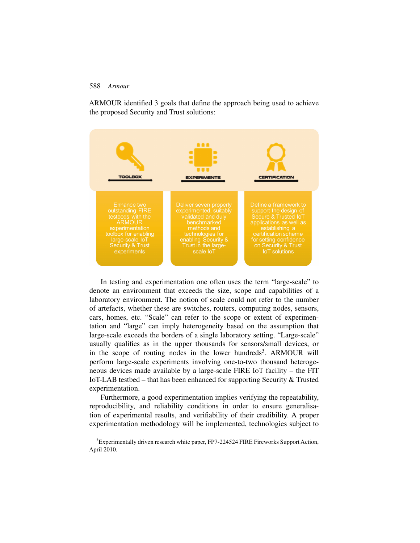ARMOUR identified 3 goals that define the approach being used to achieve the proposed Security and Trust solutions:



In testing and experimentation one often uses the term "large-scale" to denote an environment that exceeds the size, scope and capabilities of a laboratory environment. The notion of scale could not refer to the number of artefacts, whether these are switches, routers, computing nodes, sensors, cars, homes, etc. "Scale" can refer to the scope or extent of experimentation and "large" can imply heterogeneity based on the assumption that large-scale exceeds the borders of a single laboratory setting. "Large-scale" usually qualifies as in the upper thousands for sensors/small devices, or in the scope of routing nodes in the lower hundreds<sup>3</sup>. ARMOUR will perform large-scale experiments involving one-to-two thousand heterogeneous devices made available by a large-scale FIRE IoT facility – the FIT IoT-LAB testbed – that has been enhanced for supporting Security & Trusted experimentation.

Furthermore, a good experimentation implies verifying the repeatability, reproducibility, and reliability conditions in order to ensure generalisation of experimental results, and verifiability of their credibility. A proper experimentation methodology will be implemented, technologies subject to

 $3$ Experimentally driven research white paper, FP7-224524 FIRE Fireworks Support Action, April 2010.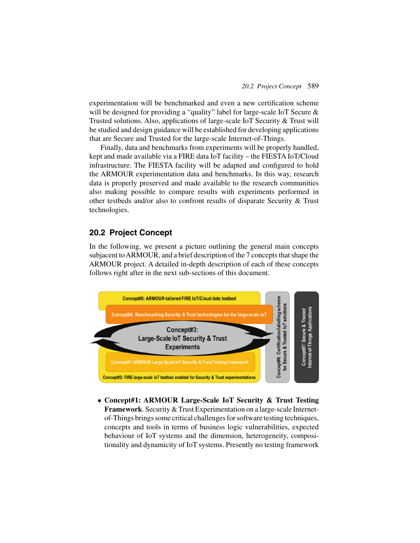experimentation will be benchmarked and even a new certification scheme will be designed for providing a "quality" label for large-scale IoT Secure & Trusted solutions. Also, applications of large-scale IoT Security & Trust will be studied and design guidance will be established for developing applications that are Secure and Trusted for the large-scale Internet-of-Things.

Finally, data and benchmarks from experiments will be properly handled, kept and made available via a FIRE data IoT facility – the FIESTA IoT/Cloud infrastructure. The FIESTA facility will be adapted and configured to hold the ARMOUR experimentation data and benchmarks. In this way, research data is properly preserved and made available to the research communities also making possible to compare results with experiments performed in other testbeds and/or also to confront results of disparate Security & Trust technologies.

### **20.2 Project Concept**

In the following, we present a picture outlining the general main concepts subjacent toARMOUR, and a brief description of the 7 concepts that shape the ARMOUR project. A detailed in-depth description of each of these concepts follows right after in the next sub-sections of this document.



• **Concept#1: ARMOUR Large-Scale IoT Security & Trust Testing Framework**. Security & Trust Experimentation on a large-scale Internetof-Things brings some critical challenges for software testing techniques, concepts and tools in terms of business logic vulnerabilities, expected behaviour of IoT systems and the dimension, heterogeneity, compositionality and dynamicity of IoT systems. Presently no testing framework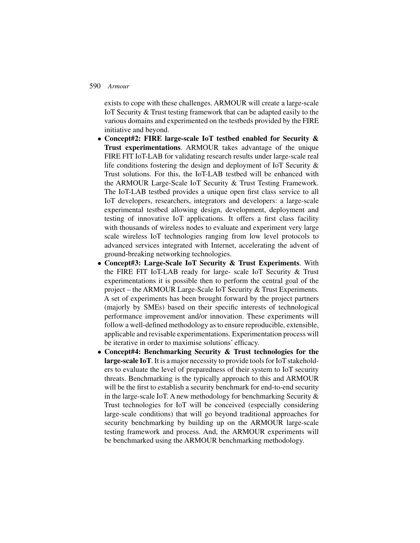exists to cope with these challenges. ARMOUR will create a large-scale IoT Security & Trust testing framework that can be adapted easily to the various domains and experimented on the testbeds provided by the FIRE initiative and beyond.

- **Concept#2: FIRE large-scale IoT testbed enabled for Security & Trust experimentations**. ARMOUR takes advantage of the unique FIRE FIT IoT-LAB for validating research results under large-scale real life conditions fostering the design and deployment of IoT Security & Trust solutions. For this, the IoT-LAB testbed will be enhanced with the ARMOUR Large-Scale IoT Security & Trust Testing Framework. The IoT-LAB testbed provides a unique open first class service to all IoT developers, researchers, integrators and developers: a large-scale experimental testbed allowing design, development, deployment and testing of innovative IoT applications. It offers a first class facility with thousands of wireless nodes to evaluate and experiment very large scale wireless IoT technologies ranging from low level protocols to advanced services integrated with Internet, accelerating the advent of ground-breaking networking technologies.
- **Concept#3: Large-Scale IoT Security & Trust Experiments**. With the FIRE FIT IoT-LAB ready for large- scale IoT Security & Trust experimentations it is possible then to perform the central goal of the project – the ARMOUR Large-Scale IoT Security & Trust Experiments. A set of experiments has been brought forward by the project partners (majorly by SMEs) based on their specific interests of technological performance improvement and/or innovation. These experiments will follow a well-defined methodology as to ensure reproducible, extensible, applicable and revisable experimentations. Experimentation process will be iterative in order to maximise solutions' efficacy.
- **Concept#4: Benchmarking Security & Trust technologies for the large-scale IoT**. It is a major necessity to provide tools for IoT stakeholders to evaluate the level of preparedness of their system to IoT security threats. Benchmarking is the typically approach to this and ARMOUR will be the first to establish a security benchmark for end-to-end security in the large-scale IoT. A new methodology for benchmarking Security  $\&$ Trust technologies for IoT will be conceived (especially considering large-scale conditions) that will go beyond traditional approaches for security benchmarking by building up on the ARMOUR large-scale testing framework and process. And, the ARMOUR experiments will be benchmarked using the ARMOUR benchmarking methodology.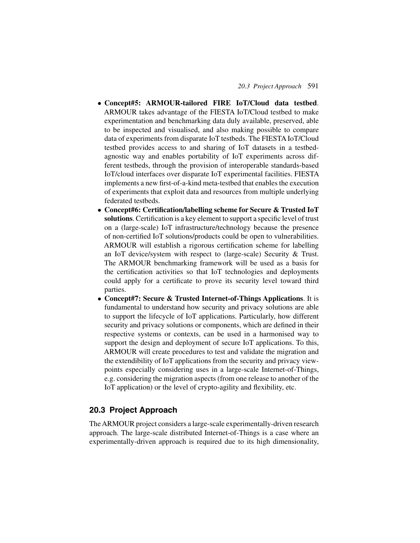- **Concept#5: ARMOUR-tailored FIRE IoT/Cloud data testbed**. ARMOUR takes advantage of the FIESTA IoT/Cloud testbed to make experimentation and benchmarking data duly available, preserved, able to be inspected and visualised, and also making possible to compare data of experiments from disparate IoT testbeds. The FIESTA IoT/Cloud testbed provides access to and sharing of IoT datasets in a testbedagnostic way and enables portability of IoT experiments across different testbeds, through the provision of interoperable standards-based IoT/cloud interfaces over disparate IoT experimental facilities. FIESTA implements a new first-of-a-kind meta-testbed that enables the execution of experiments that exploit data and resources from multiple underlying federated testbeds.
- **Concept#6: Certification/labelling scheme for Secure & Trusted IoT solutions**. Certification is a key element to support a specific level of trust on a (large-scale) IoT infrastructure/technology because the presence of non-certified IoT solutions/products could be open to vulnerabilities. ARMOUR will establish a rigorous certification scheme for labelling an IoT device/system with respect to (large-scale) Security & Trust. The ARMOUR benchmarking framework will be used as a basis for the certification activities so that IoT technologies and deployments could apply for a certificate to prove its security level toward third parties.
- **Concept#7: Secure & Trusted Internet-of-Things Applications**. It is fundamental to understand how security and privacy solutions are able to support the lifecycle of IoT applications. Particularly, how different security and privacy solutions or components, which are defined in their respective systems or contexts, can be used in a harmonised way to support the design and deployment of secure IoT applications. To this, ARMOUR will create procedures to test and validate the migration and the extendibility of IoT applications from the security and privacy viewpoints especially considering uses in a large-scale Internet-of-Things, e.g. considering the migration aspects (from one release to another of the IoT application) or the level of crypto-agility and flexibility, etc.

# **20.3 Project Approach**

The ARMOUR project considers a large-scale experimentally-driven research approach. The large-scale distributed Internet-of-Things is a case where an experimentally-driven approach is required due to its high dimensionality,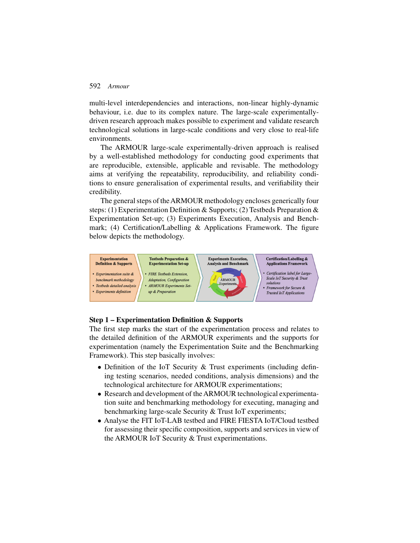multi-level interdependencies and interactions, non-linear highly-dynamic behaviour, i.e. due to its complex nature. The large-scale experimentallydriven research approach makes possible to experiment and validate research technological solutions in large-scale conditions and very close to real-life environments.

The ARMOUR large-scale experimentally-driven approach is realised by a well-established methodology for conducting good experiments that are reproducible, extensible, applicable and revisable. The methodology aims at verifying the repeatability, reproducibility, and reliability conditions to ensure generalisation of experimental results, and verifiability their credibility.

The general steps of theARMOUR methodology encloses generically four steps: (1) Experimentation Definition & Supports; (2) Testbeds Preparation & Experimentation Set-up; (3) Experiments Execution, Analysis and Benchmark; (4) Certification/Labelling & Applications Framework. The figure below depicts the methodology.



#### **Step 1 – Experimentation Definition & Supports**

The first step marks the start of the experimentation process and relates to the detailed definition of the ARMOUR experiments and the supports for experimentation (namely the Experimentation Suite and the Benchmarking Framework). This step basically involves:

- Definition of the IoT Security & Trust experiments (including defining testing scenarios, needed conditions, analysis dimensions) and the technological architecture for ARMOUR experimentations;
- Research and development of the ARMOUR technological experimentation suite and benchmarking methodology for executing, managing and benchmarking large-scale Security & Trust IoT experiments;
- Analyse the FIT IoT-LAB testbed and FIRE FIESTA IoT/Cloud testbed for assessing their specific composition, supports and services in view of the ARMOUR IoT Security & Trust experimentations.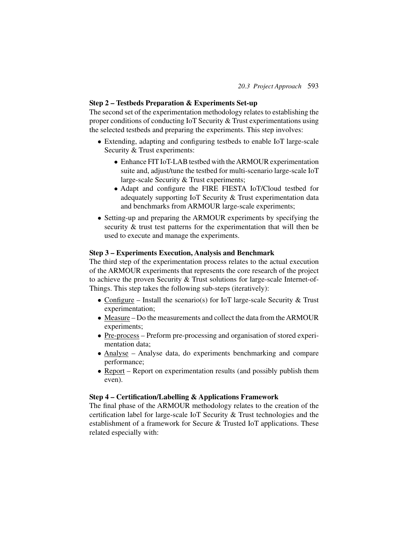#### **Step 2 – Testbeds Preparation & Experiments Set-up**

The second set of the experimentation methodology relates to establishing the proper conditions of conducting IoT Security & Trust experimentations using the selected testbeds and preparing the experiments. This step involves:

- Extending, adapting and configuring testbeds to enable IoT large-scale Security & Trust experiments:
	- Enhance FIT IoT-LAB testbed with theARMOUR experimentation suite and, adjust/tune the testbed for multi-scenario large-scale IoT large-scale Security & Trust experiments;
	- Adapt and configure the FIRE FIESTA IoT/Cloud testbed for adequately supporting IoT Security & Trust experimentation data and benchmarks from ARMOUR large-scale experiments;
- Setting-up and preparing the ARMOUR experiments by specifying the security & trust test patterns for the experimentation that will then be used to execute and manage the experiments.

#### **Step 3 – Experiments Execution, Analysis and Benchmark**

The third step of the experimentation process relates to the actual execution of the ARMOUR experiments that represents the core research of the project to achieve the proven Security & Trust solutions for large-scale Internet-of-Things. This step takes the following sub-steps (iteratively):

- Configure Install the scenario(s) for IoT large-scale Security  $&$  Trust experimentation;
- Measure Do the measurements and collect the data from the ARMOUR experiments;
- Pre-process Preform pre-processing and organisation of stored experimentation data;
- Analyse Analyse data, do experiments benchmarking and compare performance;
- Report Report on experimentation results (and possibly publish them even).

#### **Step 4 – Certification/Labelling & Applications Framework**

The final phase of the ARMOUR methodology relates to the creation of the certification label for large-scale IoT Security & Trust technologies and the establishment of a framework for Secure & Trusted IoT applications. These related especially with: